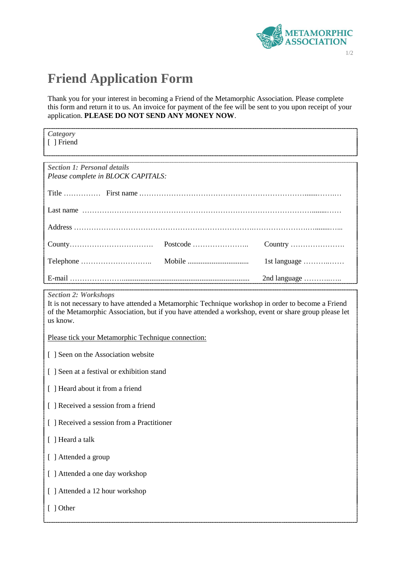

## **Friend Application Form**

Thank you for your interest in becoming a Friend of the Metamorphic Association. Please complete this form and return it to us. An invoice for payment of the fee will be sent to you upon receipt of your application. **PLEASE DO NOT SEND ANY MONEY NOW**.

| Category<br>[ ] Friend                                                                                         |                                               |
|----------------------------------------------------------------------------------------------------------------|-----------------------------------------------|
| <b>Section 1: Personal details</b><br>Please complete in BLOCK CAPITALS:                                       |                                               |
|                                                                                                                |                                               |
|                                                                                                                |                                               |
|                                                                                                                |                                               |
|                                                                                                                |                                               |
|                                                                                                                | 1st language $\dots\dots\dots\dots\dots\dots$ |
| E-mail and the contract of the contract of the contract of the contract of the contract of the contract of the | 2nd language                                  |

*Section 2: Workshops*

It is not necessary to have attended a Metamorphic Technique workshop in order to become a Friend of the Metamorphic Association, but if you have attended a workshop, event or share group please let us know.

Please tick your Metamorphic Technique connection:

[ ] Seen on the Association website

[ ] Seen at a festival or exhibition stand

[ ] Heard about it from a friend

- [ ] Received a session from a friend
- [ ] Received a session from a Practitioner
- [ ] Heard a talk
- [ ] Attended a group
- [ ] Attended a one day workshop

[ ] Attended a 12 hour workshop

[ ] Other